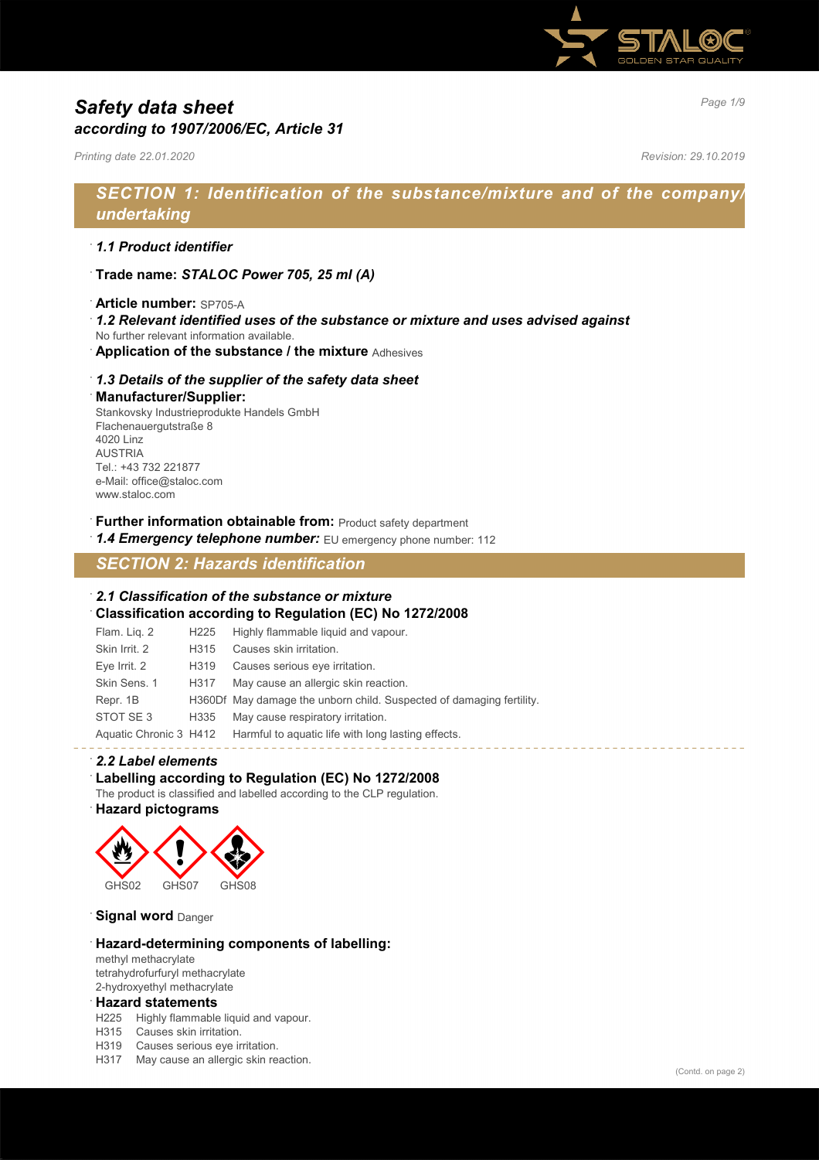

# *Page 1/9 Safety data sheet according to 1907/2006/EC, Article 31*

*Printing date 22.01.2020 Revision: 29.10.2019*

# *SECTION 1: Identification of the substance/mixture and of the company/ undertaking*

### · *1.1 Product identifier*

· **Trade name:** *STALOC Power 705, 25 ml (A)*

### · **Article number:** SP705-A

- · *1.2 Relevant identified uses of the substance or mixture and uses advised against*
- No further relevant information available.
- · **Application of the substance / the mixture** Adhesives

### · *1.3 Details of the supplier of the safety data sheet*

#### · **Manufacturer/Supplier:**

Stankovsky Industrieprodukte Handels GmbH Flachenauergutstraße 8 4020 Linz AUSTRIA Tel.: +43 732 221877 e-Mail: office@staloc.com www.staloc.com

- **Further information obtainable from:** Product safety department
- 1.4 **Emergency telephone number:** EU emergency phone number: 112

# *SECTION 2: Hazards identification*

### · *2.1 Classification of the substance or mixture*

· **Classification according to Regulation (EC) No 1272/2008**

| Flam. Liq. 2  | H225             | Highly flammable liquid and vapour.                                       |
|---------------|------------------|---------------------------------------------------------------------------|
| Skin Irrit. 2 | H <sub>315</sub> | Causes skin irritation.                                                   |
| Eye Irrit. 2  | H319             | Causes serious eye irritation.                                            |
| Skin Sens, 1  | H317             | May cause an allergic skin reaction.                                      |
| Repr. 1B      |                  | H360Df May damage the unborn child. Suspected of damaging fertility.      |
| STOT SE3      | H335             | May cause respiratory irritation.                                         |
|               |                  | Aquatic Chronic 3 H412 Harmful to aquatic life with long lasting effects. |

### · *2.2 Label elements*

### · **Labelling according to Regulation (EC) No 1272/2008**

The product is classified and labelled according to the CLP regulation.

### · **Hazard pictograms**



#### **Signal word** Danger

### · **Hazard-determining components of labelling:**

methyl methacrylate tetrahydrofurfuryl methacrylate 2-hydroxyethyl methacrylate

### · **Hazard statements**

- H225 Highly flammable liquid and vapour.
- H315 Causes skin irritation.
- H319 Causes serious eye irritation.
- H317 May cause an allergic skin reaction.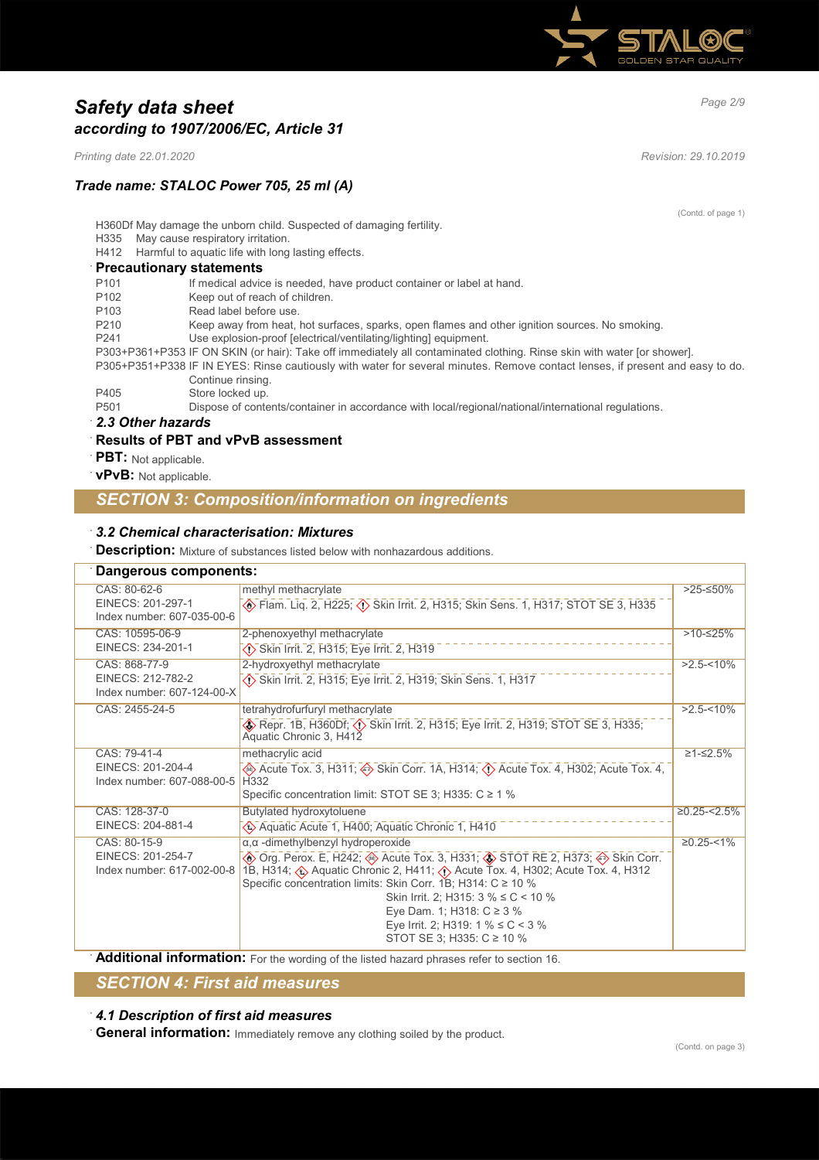

# *Page 2/9 Safety data sheet according to 1907/2006/EC, Article 31*

*Printing date 22.01.2020 Revision: 29.10.2019*

### *Trade name: STALOC Power 705, 25 ml (A)*

(Contd. of page 1)

H360Df May damage the unborn child. Suspected of damaging fertility.

H335 May cause respiratory irritation.

H412 Harmful to aquatic life with long lasting effects.

### · **Precautionary statements**

| P <sub>101</sub> | If medical advice is needed, have product container or label at hand.                                                         |
|------------------|-------------------------------------------------------------------------------------------------------------------------------|
| P <sub>102</sub> | Keep out of reach of children.                                                                                                |
| P <sub>103</sub> | Read label before use.                                                                                                        |
| P <sub>210</sub> | Keep away from heat, hot surfaces, sparks, open flames and other ignition sources. No smoking.                                |
| P <sub>241</sub> | Use explosion-proof [electrical/ventilating/lighting] equipment.                                                              |
|                  | P303+P361+P353 IF ON SKIN (or hair): Take off immediately all contaminated clothing. Rinse skin with water [or shower].       |
|                  | P305+P351+P338 IF IN EYES: Rinse cautiously with water for several minutes. Remove contact lenses, if present and easy to do. |
|                  | Continue rinsing.                                                                                                             |
| P405             | Store locked up.                                                                                                              |
| P <sub>501</sub> | Dispose of contents/container in accordance with local/regional/national/international regulations.                           |
| 22 Other hozarde |                                                                                                                               |

#### · *2.3 Other hazards*

### · **Results of PBT and vPvB assessment**

- · **PBT:** Not applicable.
- · **vPvB:** Not applicable.

# *SECTION 3: Composition/information on ingredients*

### · *3.2 Chemical characterisation: Mixtures*

**Description:** Mixture of substances listed below with nonhazardous additions.

#### · **Dangerous components:** CAS: 80-62-6 EINECS: 201-297-1 Index number: 607-035-00-6 methyl methacrylate d~ Flam. Liq. 2, H225; d~ Skin Irrit. 2, H315; Skin Sens. 1, H317; STOT SE 3, H335 >25-≤50% CAS: 10595-06-9 EINECS: 234-201-1 2-phenoxyethyl methacrylate d~ Skin Irrit. 2, H315; Eye Irrit. 2, H319 >10-≤25% CAS: 868-77-9 EINECS: 212-782-2 Index number: 607-124-00-X 2-hydroxyethyl methacrylate d~ Skin Irrit. 2, H315; Eye Irrit. 2, H319; Skin Sens. 1, H317  $>2.5 - 10\%$ CAS: 2455-24-5 tetrahydrofurfuryl methacrylate d~ Repr. 1B, H360Df; d~ Skin Irrit. 2, H315; Eye Irrit. 2, H319; STOT SE 3, H335; Aquatic Chronic 3, H412  $>2.5 - 10\%$ CAS: 79-41-4 EINECS: 201-204-4 Index number: 607-088-00-5 methacrylic acid  $\diamondsuit$  Acute Tox. 3, H311;  $\diamondsuit$  Skin Corr. 1A, H314;  $\diamondsuit$  Acute Tox. 4, H302; Acute Tox. 4, H332 Specific concentration limit: STOT SE 3; H335: C ≥ 1 % ≥1-≤2.5% CAS: 128-37-0 EINECS: 204-881-4 Butylated hydroxytoluene d~ Aquatic Acute 1, H400; Aquatic Chronic 1, H410  $\geq$ 0.25-<2.5% CAS: 80-15-9 EINECS: 201-254-7 Index number: 617-002-00-8 <mark>∣</mark> 1B, H314;  $\circledast$  Aquatic Chronic 2, H411;  $\circledast$  Acute Tox. 4, H302; Acute Tox. 4, H312 α,α -dimethylbenzyl hydroperoxide  $\circledast$  Org. Perox. E, H242;  $\circledast$  Acute Tox. 3, H331;  $\circledast$  STOT RE 2, H373;  $\circledast$  Skin Corr. Specific concentration limits: Skin Corr. 1B; H314: C ≥ 10 % Skin Irrit. 2; H315: 3 % ≤ C < 10 % Eye Dam. 1; H318: C ≥ 3 % Eye Irrit. 2; H319: 1 % ≤ C < 3 % STOT SE 3; H335: C ≥ 10 %  $≥0.25 - 1%$

**Additional information:** For the wording of the listed hazard phrases refer to section 16.

# *SECTION 4: First aid measures*

### · *4.1 Description of first aid measures*

· **General information:** Immediately remove any clothing soiled by the product.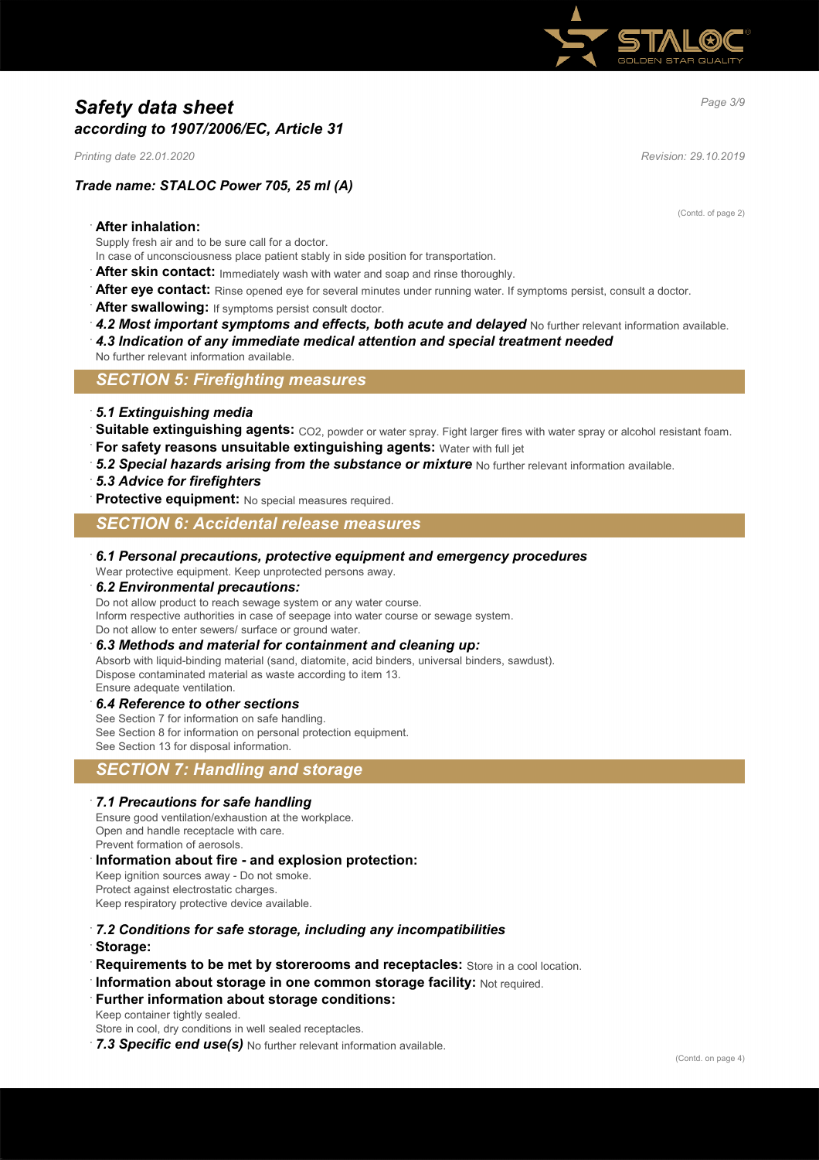

# *Page 3/9 Safety data sheet according to 1907/2006/EC, Article 31*

*Printing date 22.01.2020 Revision: 29.10.2019*

# *Trade name: STALOC Power 705, 25 ml (A)*

(Contd. of page 2)

### · **After inhalation:**

Supply fresh air and to be sure call for a doctor.

In case of unconsciousness place patient stably in side position for transportation.

After skin contact: Immediately wash with water and soap and rinse thoroughly.

After eye contact: Rinse opened eye for several minutes under running water. If symptoms persist, consult a doctor.

- After swallowing: If symptoms persist consult doctor.
- 4.2 Most important symptoms and effects, both acute and delayed No further relevant information available.
- · *4.3 Indication of any immediate medical attention and special treatment needed*

No further relevant information available.

*SECTION 5: Firefighting measures*

### · *5.1 Extinguishing media*

- Suitable extinguishing agents: CO2, powder or water spray. Fight larger fires with water spray or alcohol resistant foam.
- **For safety reasons unsuitable extinguishing agents: Water with full jet**
- 5.2 Special hazards arising from the substance or mixture No further relevant information available.
- · *5.3 Advice for firefighters*

**Protective equipment:** No special measures required.

### *SECTION 6: Accidental release measures*

### · *6.1 Personal precautions, protective equipment and emergency procedures*

Wear protective equipment. Keep unprotected persons away.

### · *6.2 Environmental precautions:*

Do not allow product to reach sewage system or any water course.

Inform respective authorities in case of seepage into water course or sewage system.

Do not allow to enter sewers/ surface or ground water.

### · *6.3 Methods and material for containment and cleaning up:*

Absorb with liquid-binding material (sand, diatomite, acid binders, universal binders, sawdust). Dispose contaminated material as waste according to item 13. Ensure adequate ventilation.

### · *6.4 Reference to other sections*

See Section 7 for information on safe handling. See Section 8 for information on personal protection equipment. See Section 13 for disposal information.

# *SECTION 7: Handling and storage*

### · *7.1 Precautions for safe handling*

Ensure good ventilation/exhaustion at the workplace. Open and handle receptacle with care. Prevent formation of aerosols.

### · **Information about fire - and explosion protection:**

Keep ignition sources away - Do not smoke. Protect against electrostatic charges. Keep respiratory protective device available.

- · *7.2 Conditions for safe storage, including any incompatibilities*
- · **Storage:**
- **Requirements to be met by storerooms and receptacles:** Store in a cool location.
- · **Information about storage in one common storage facility:** Not required.
- **Further information about storage conditions:**

Keep container tightly sealed.

Store in cool, dry conditions in well sealed receptacles.

7.3 Specific end use(s) No further relevant information available.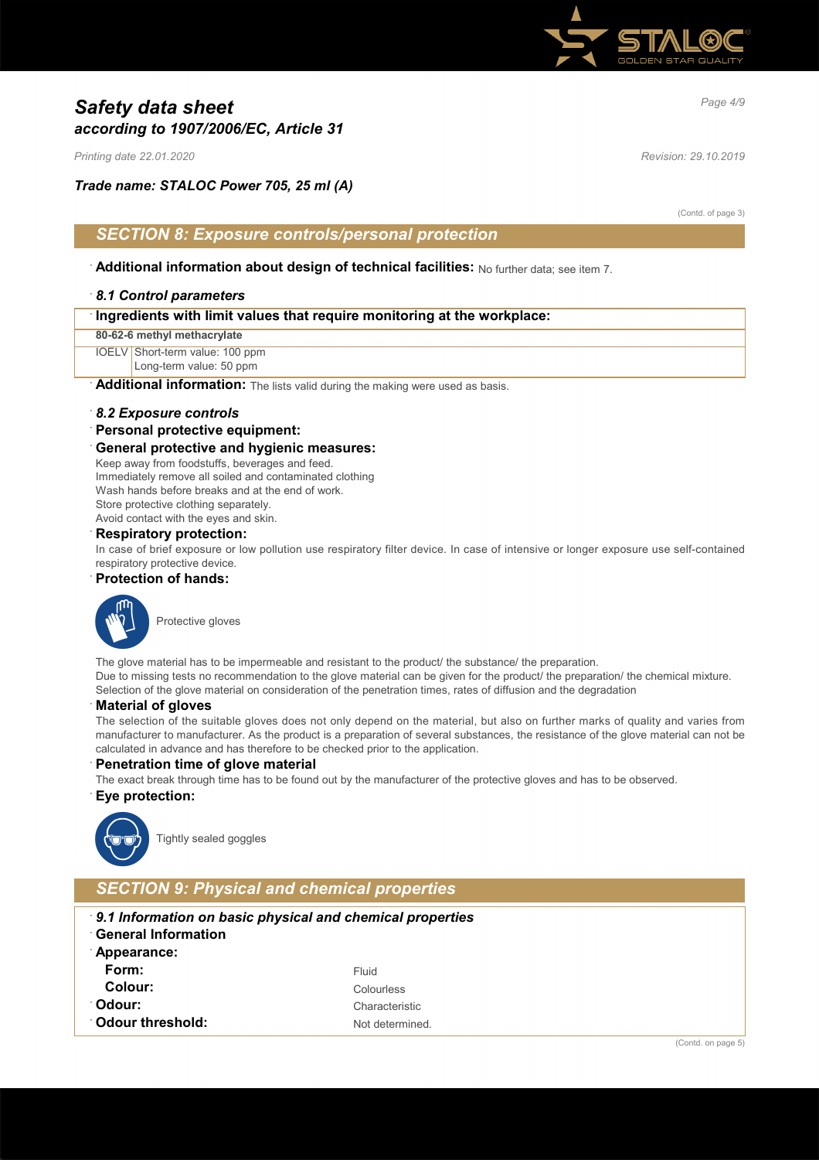

# *Page 4/9 Safety data sheet according to 1907/2006/EC, Article 31*

*Printing date 22.01.2020 Revision: 29.10.2019*

# *Trade name: STALOC Power 705, 25 ml (A)*

(Contd. of page 3)

### *SECTION 8: Exposure controls/personal protection*

· **Additional information about design of technical facilities:** No further data; see item 7.

### · *8.1 Control parameters*

**80-62-6 methyl methacrylate**

IOELV Short-term value: 100 ppm

Long-term value: 50 ppm

Additional information: The lists valid during the making were used as basis.

### · *8.2 Exposure controls*

### · **Personal protective equipment:**

### · **General protective and hygienic measures:**

Keep away from foodstuffs, beverages and feed. Immediately remove all soiled and contaminated clothing Wash hands before breaks and at the end of work. Store protective clothing separately.

Avoid contact with the eyes and skin.

### · **Respiratory protection:**

In case of brief exposure or low pollution use respiratory filter device. In case of intensive or longer exposure use self-contained respiratory protective device.

### · **Protection of hands:**



The glove material has to be impermeable and resistant to the product/ the substance/ the preparation. Due to missing tests no recommendation to the glove material can be given for the product/ the preparation/ the chemical mixture. Selection of the glove material on consideration of the penetration times, rates of diffusion and the degradation

### · **Material of gloves**

The selection of the suitable gloves does not only depend on the material, but also on further marks of quality and varies from manufacturer to manufacturer. As the product is a preparation of several substances, the resistance of the glove material can not be calculated in advance and has therefore to be checked prior to the application.

### **Penetration time of glove material**

The exact break through time has to be found out by the manufacturer of the protective gloves and has to be observed.

### · **Eye protection:**



Tightly sealed goggles

# *SECTION 9: Physical and chemical properties*

- · *9.1 Information on basic physical and chemical properties*
- · **General Information**
- · **Appearance: Form:** Fluid **Colour:** Colourless **Odour:** Characteristic **Odour threshold:** Not determined.

(Contd. on page 5)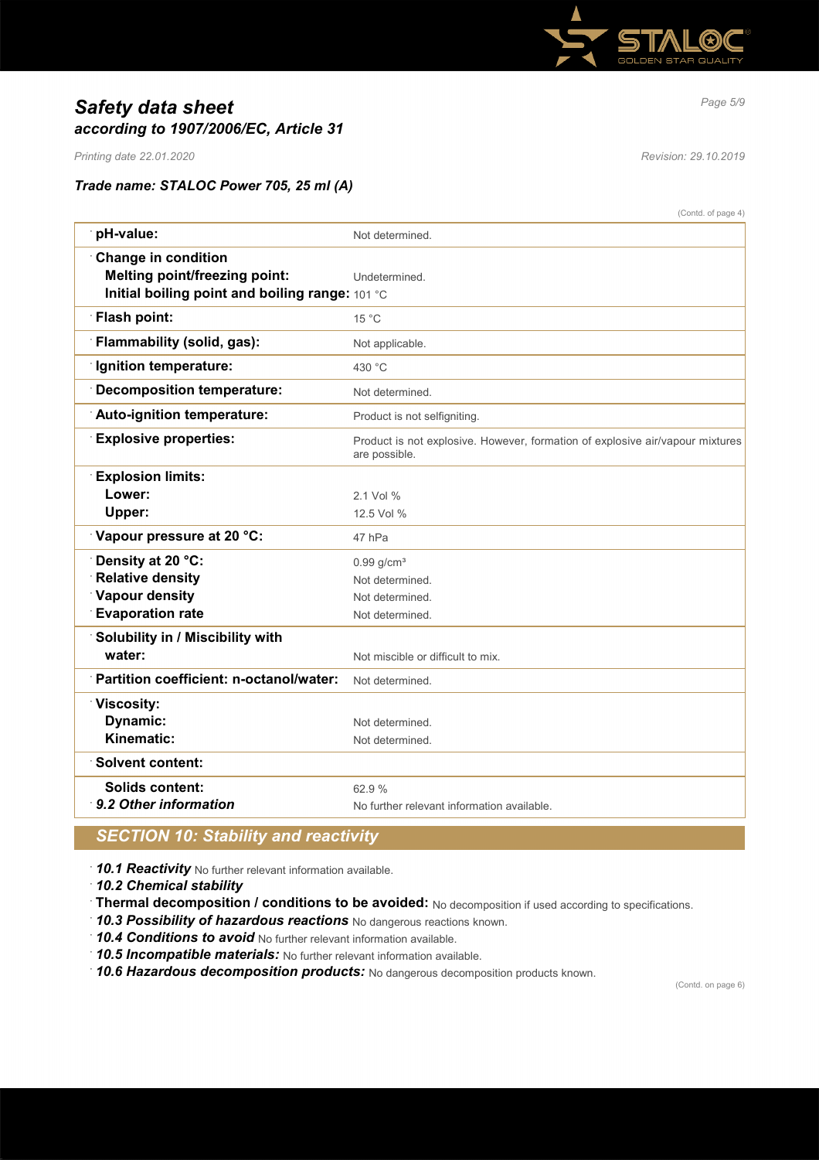

# *Page 5/9 Safety data sheet according to 1907/2006/EC, Article 31*

*Printing date 22.01.2020 Revision: 29.10.2019*

# *Trade name: STALOC Power 705, 25 ml (A)*

|                                                 | (Contd. of page 4)                                                                             |
|-------------------------------------------------|------------------------------------------------------------------------------------------------|
| pH-value:                                       | Not determined.                                                                                |
| <b>Change in condition</b>                      |                                                                                                |
| <b>Melting point/freezing point:</b>            | Undetermined.                                                                                  |
| Initial boiling point and boiling range: 101 °C |                                                                                                |
| <b>Flash point:</b>                             | 15 °C                                                                                          |
| Flammability (solid, gas):                      | Not applicable.                                                                                |
| Ignition temperature:                           | 430 °C                                                                                         |
| <b>Decomposition temperature:</b>               | Not determined.                                                                                |
| Auto-ignition temperature:                      | Product is not selfigniting.                                                                   |
| <b>Explosive properties:</b>                    | Product is not explosive. However, formation of explosive air/vapour mixtures<br>are possible. |
| <b>Explosion limits:</b>                        |                                                                                                |
| Lower:                                          | 2 1 Vol %                                                                                      |
| Upper:                                          | 12.5 Vol %                                                                                     |
| Vapour pressure at 20 °C:                       | 47 hPa                                                                                         |
| Density at 20 °C:                               | $0.99$ g/cm <sup>3</sup>                                                                       |
| <b>Relative density</b>                         | Not determined.                                                                                |
| Vapour density                                  | Not determined.                                                                                |
| <b>Evaporation rate</b>                         | Not determined.                                                                                |
| Solubility in / Miscibility with                |                                                                                                |
| water:                                          | Not miscible or difficult to mix.                                                              |
| Partition coefficient: n-octanol/water:         | Not determined.                                                                                |
| <b>Viscosity:</b>                               |                                                                                                |
| Dynamic:                                        | Not determined.                                                                                |
| Kinematic:                                      | Not determined.                                                                                |
| <b>Solvent content:</b>                         |                                                                                                |
| Solids content:                                 | 62.9%                                                                                          |
| 9.2 Other information                           | No further relevant information available.                                                     |
|                                                 |                                                                                                |

# *SECTION 10: Stability and reactivity*

· *10.1 Reactivity* No further relevant information available.

· *10.2 Chemical stability*

- · **Thermal decomposition / conditions to be avoided:** No decomposition if used according to specifications.
- · *10.3 Possibility of hazardous reactions* No dangerous reactions known.

· *10.4 Conditions to avoid* No further relevant information available.

· *10.5 Incompatible materials:* No further relevant information available.

· *10.6 Hazardous decomposition products:* No dangerous decomposition products known.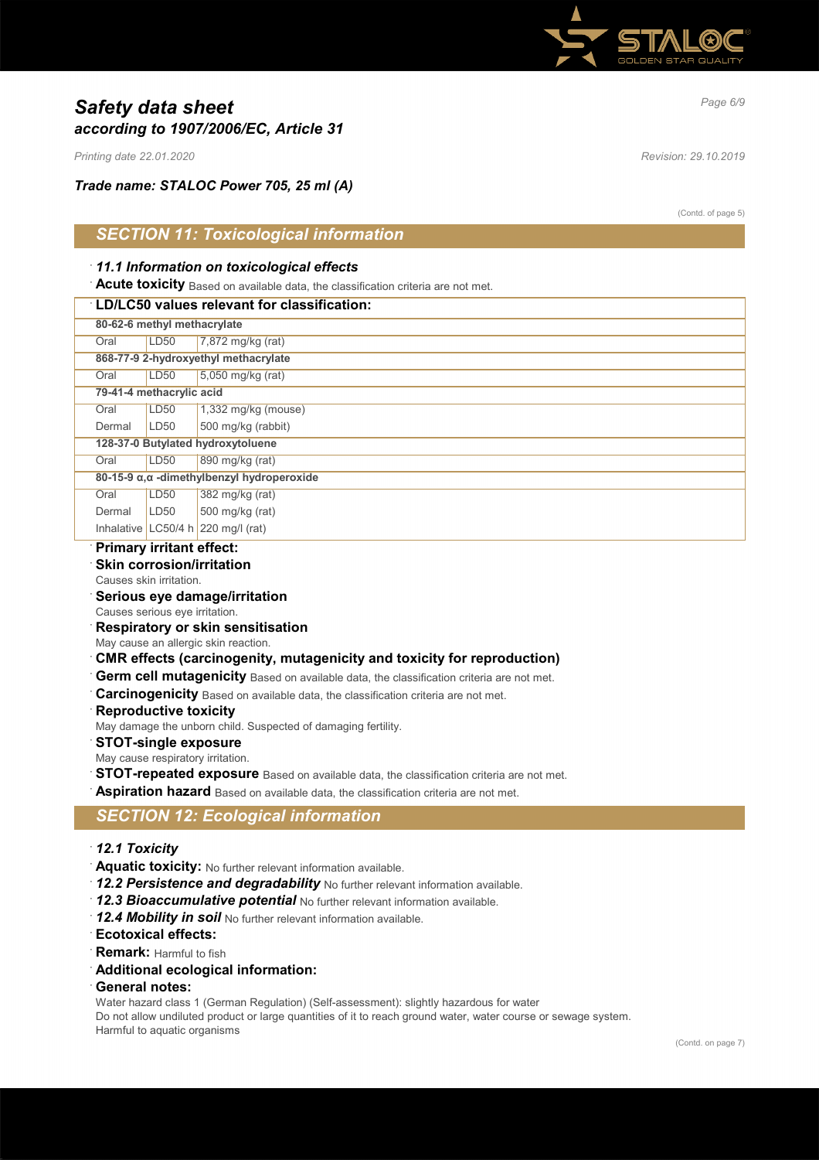

# *Page 6/9 Safety data sheet according to 1907/2006/EC, Article 31*

*Printing date 22.01.2020 Revision: 29.10.2019*

*Trade name: STALOC Power 705, 25 ml (A)*

(Contd. of page 5)

# *SECTION 11: Toxicological information*

### · *11.1 Information on toxicological effects*

**Acute toxicity** Based on available data, the classification criteria are not met.

### · **LD/LC50 values relevant for classification:**

| 80-62-6 methyl methacrylate                 |                                      |                                              |  |
|---------------------------------------------|--------------------------------------|----------------------------------------------|--|
| Oral                                        | LD50                                 | 7,872 mg/kg (rat)                            |  |
|                                             | 868-77-9 2-hydroxyethyl methacrylate |                                              |  |
| Oral                                        | LD50                                 | 5,050 mg/kg (rat)                            |  |
| 79-41-4 methacrylic acid                    |                                      |                                              |  |
| Oral                                        | LD50                                 | $1,332$ mg/kg (mouse)                        |  |
| Dermal                                      | LD <sub>50</sub>                     | 500 mg/kg (rabbit)                           |  |
| 128-37-0 Butylated hydroxytoluene           |                                      |                                              |  |
| Oral                                        | LD50                                 | 890 mg/kg (rat)                              |  |
|                                             |                                      | 80-15-9 α, α -dimethylbenzyl hydroperoxide   |  |
| Oral                                        | LD50                                 | 382 mg/kg (rat)                              |  |
| Dermal                                      | LD50                                 | 500 mg/kg (rat)                              |  |
|                                             |                                      | Inhalative LC50/4 h $220 \text{ mq/l}$ (rat) |  |
| Production of the state of the first state. |                                      |                                              |  |

### · **Primary irritant effect:**

# **Skin corrosion/irritation**

Causes skin irritation.

### · **Serious eye damage/irritation**

- Causes serious eye irritation.
- · **Respiratory or skin sensitisation**
- May cause an allergic skin reaction.

### · **CMR effects (carcinogenity, mutagenicity and toxicity for reproduction)**

- **Germ cell mutagenicity** Based on available data, the classification criteria are not met.
- · **Carcinogenicity** Based on available data, the classification criteria are not met.
- **Reproductive toxicity**
- May damage the unborn child. Suspected of damaging fertility.

#### · **STOT-single exposure**

- May cause respiratory irritation.
- **STOT-repeated exposure** Based on available data, the classification criteria are not met.

**Aspiration hazard** Based on available data, the classification criteria are not met.

# *SECTION 12: Ecological information*

- · *12.1 Toxicity*
- · **Aquatic toxicity:** No further relevant information available.
- 12.2 Persistence and degradability No further relevant information available.
- · *12.3 Bioaccumulative potential* No further relevant information available.
- · *12.4 Mobility in soil* No further relevant information available.
- · **Ecotoxical effects:**
- **Remark:** Harmful to fish
- · **Additional ecological information:**
- · **General notes:**

Water hazard class 1 (German Regulation) (Self-assessment): slightly hazardous for water

Do not allow undiluted product or large quantities of it to reach ground water, water course or sewage system. Harmful to aquatic organisms

(Contd. on page 7)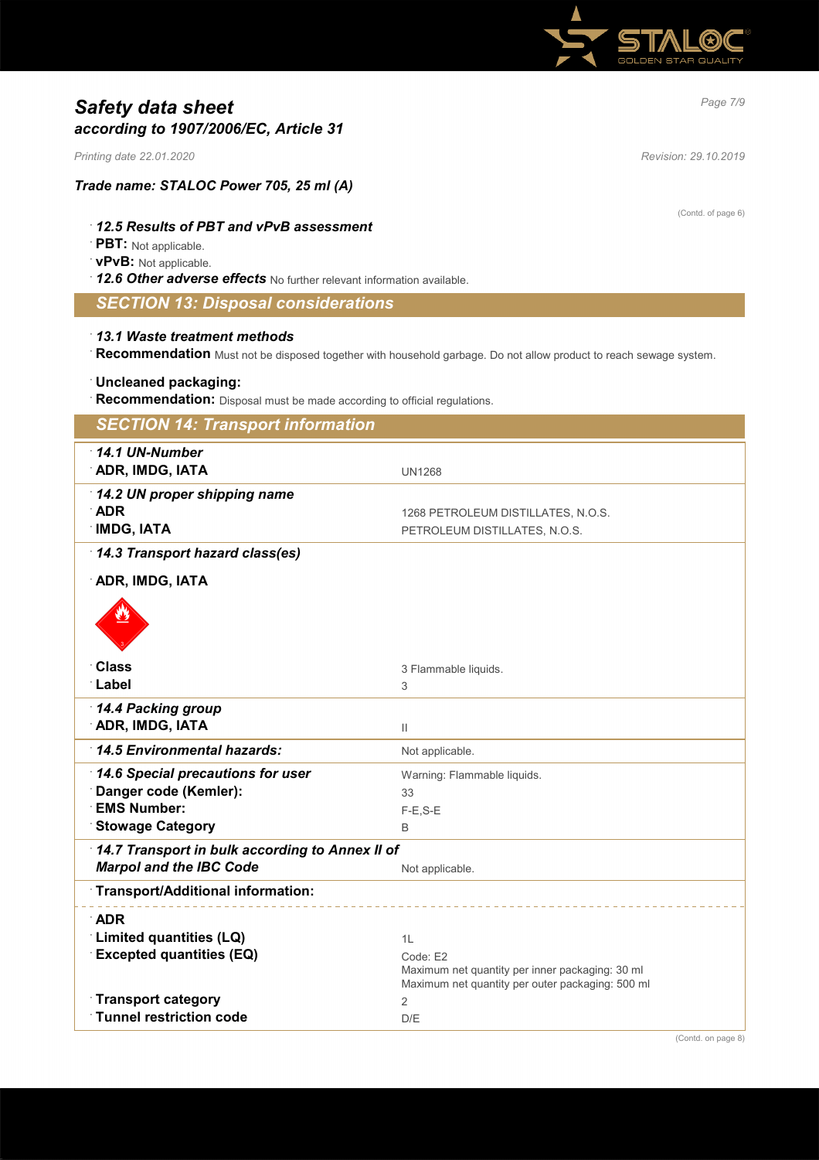

# *Page 7/9 Safety data sheet according to 1907/2006/EC, Article 31*

*Printing date 22.01.2020 Revision: 29.10.2019*

*Trade name: STALOC Power 705, 25 ml (A)*

### · *12.5 Results of PBT and vPvB assessment*

· **PBT:** Not applicable.

### · **vPvB:** Not applicable.

· *12.6 Other adverse effects* No further relevant information available.

# *SECTION 13: Disposal considerations*

### · *13.1 Waste treatment methods*

· **Recommendation** Must not be disposed together with household garbage. Do not allow product to reach sewage system.

### · **Uncleaned packaging:**

· **Recommendation:** Disposal must be made according to official regulations.

| <b>SECTION 14: Transport information</b>        |                                                                                                     |
|-------------------------------------------------|-----------------------------------------------------------------------------------------------------|
| $\cdot$ 14.1 UN-Number                          |                                                                                                     |
| <b>ADR, IMDG, IATA</b>                          | <b>UN1268</b>                                                                                       |
| 14.2 UN proper shipping name                    |                                                                                                     |
| <b>ADR</b>                                      | 1268 PETROLEUM DISTILLATES, N.O.S.                                                                  |
| <b>IMDG, IATA</b>                               | PETROLEUM DISTILLATES, N.O.S.                                                                       |
| 14.3 Transport hazard class(es)                 |                                                                                                     |
| <b>ADR, IMDG, IATA</b>                          |                                                                                                     |
|                                                 |                                                                                                     |
| <b>Class</b>                                    | 3 Flammable liquids.                                                                                |
| <b>Label</b>                                    | 3                                                                                                   |
| 14.4 Packing group                              |                                                                                                     |
| <b>ADR, IMDG, IATA</b>                          | $\mathbf{  }$                                                                                       |
| 14.5 Environmental hazards:                     | Not applicable.                                                                                     |
| 14.6 Special precautions for user               | Warning: Flammable liquids.                                                                         |
| Danger code (Kemler):                           | 33                                                                                                  |
| <b>EMS Number:</b>                              | $F-E$ , $S-E$                                                                                       |
| <b>Stowage Category</b>                         | B                                                                                                   |
| 14.7 Transport in bulk according to Annex II of |                                                                                                     |
| <b>Marpol and the IBC Code</b>                  | Not applicable.                                                                                     |
| <b>Transport/Additional information:</b>        |                                                                                                     |
| $\Delta$ DR                                     |                                                                                                     |
| Limited quantities (LQ)                         | 1L                                                                                                  |
| <b>Excepted quantities (EQ)</b>                 | Code: E2                                                                                            |
|                                                 | Maximum net quantity per inner packaging: 30 ml<br>Maximum net quantity per outer packaging: 500 ml |
| <b>Transport category</b>                       | $\overline{2}$                                                                                      |
| <b>Tunnel restriction code</b>                  | D/E                                                                                                 |

(Contd. of page 6)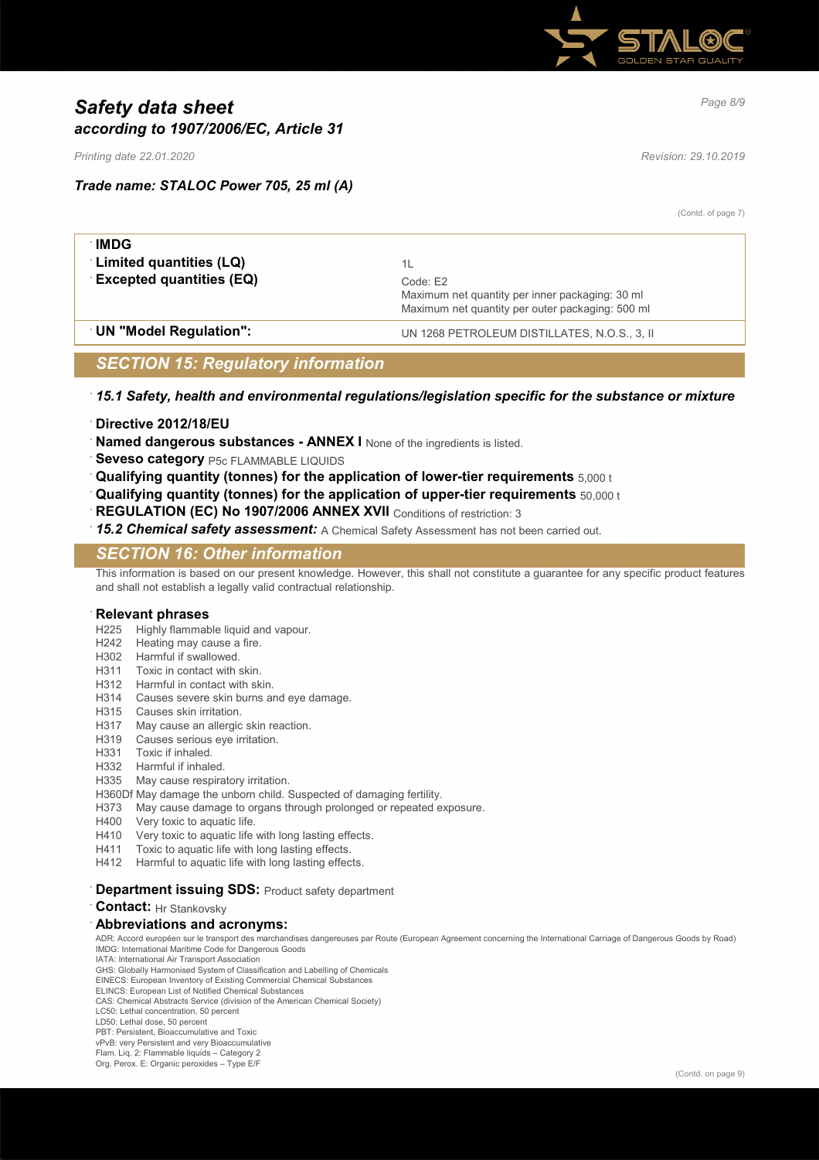

# *Page 8/9 Safety data sheet according to 1907/2006/EC, Article 31*

*Printing date 22.01.2020 Revision: 29.10.2019*

# *Trade name: STALOC Power 705, 25 ml (A)*

(Contd. of page 7)

| ∶IMDG                           |                                                                                                                 |
|---------------------------------|-----------------------------------------------------------------------------------------------------------------|
| <b>Limited quantities (LQ)</b>  |                                                                                                                 |
| <b>Excepted quantities (EQ)</b> | Code: E2<br>Maximum net quantity per inner packaging: 30 ml<br>Maximum net quantity per outer packaging: 500 ml |
| UN "Model Regulation":          | UN 1268 PETROLEUM DISTILLATES, N.O.S., 3, II                                                                    |

# *SECTION 15: Regulatory information*

### · *15.1 Safety, health and environmental regulations/legislation specific for the substance or mixture*

- · **Directive 2012/18/EU**
- **Named dangerous substances ANNEX I** None of the ingredients is listed.
- **Seveso category** P5c FLAMMABLE LIQUIDS
- · **Qualifying quantity (tonnes) for the application of lower-tier requirements** 5,000 t
- · **Qualifying quantity (tonnes) for the application of upper-tier requirements** 50,000 t
- **REGULATION (EC) No 1907/2006 ANNEX XVII** Conditions of restriction: 3
- · *15.2 Chemical safety assessment:* A Chemical Safety Assessment has not been carried out.

# *SECTION 16: Other information*

This information is based on our present knowledge. However, this shall not constitute a guarantee for any specific product features and shall not establish a legally valid contractual relationship.

### · **Relevant phrases**

- H225 Highly flammable liquid and vapour.
- H242 Heating may cause a fire.
- H302 Harmful if swallowed.
- H311 Toxic in contact with skin.
- H312 Harmful in contact with skin.
- H314 Causes severe skin burns and eye damage.
- H315 Causes skin irritation.
- H317 May cause an allergic skin reaction.
- H319 Causes serious eye irritation.
- H331 Toxic if inhaled.
- H332 Harmful if inhaled.
- H335 May cause respiratory irritation.
- H360Df May damage the unborn child. Suspected of damaging fertility.
- H373 May cause damage to organs through prolonged or repeated exposure.
- H400 Very toxic to aquatic life.
- H410 Very toxic to aquatic life with long lasting effects.<br>H411 Toxic to aquatic life with long lasting effects.
- Toxic to aquatic life with long lasting effects
- H412 Harmful to aquatic life with long lasting effects.
- **Department issuing SDS: Product safety department**

#### **Contact:** Hr Stankovsky

### · **Abbreviations and acronyms:**

ADR: Accord européen sur le transport des marchandises dangereuses par Route (European Agreement concerning the International Carriage of Dangerous Goods by Road) IMDG: International Maritime Code for Dangerous Goods IATA: International Air Transport Association

GHS: Globally Harmonised System of Classification and Labelling of Chemicals

EINECS: European Inventory of Existing Commercial Chemical Substances

ELINCS: European List of Notified Chemical Substances

CAS: Chemical Abstracts Service (division of the American Chemical Society) LC50: Lethal concentration, 50 percent

- LD50: Lethal dose, 50 percent
- PBT: Persistent, Bioaccumulative and Toxic

vPvB: very Persistent and very Bioaccumulative

Flam. Liq. 2: Flammable liquids – Category 2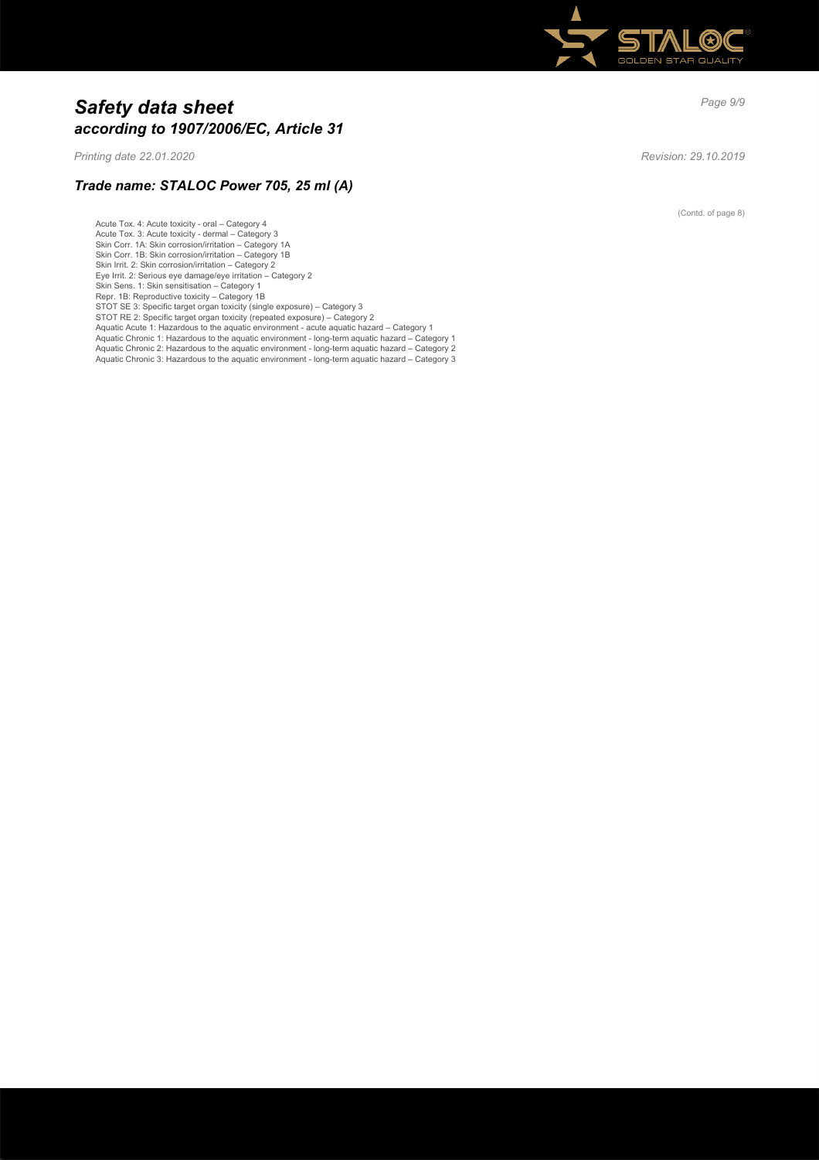

# *Page 9/9 Safety data sheet according to 1907/2006/EC, Article 31*

*Printing date 22.01.2020 Revision: 29.10.2019*

# *Trade name: STALOC Power 705, 25 ml (A)*

Acute Tox. 4: Acute toxicity - oral – Category 4 Acute Tox. 3: Acute toxicity - dermal – Category 3 Skin Corr. 1A: Skin corrosion/irritation – Category 1A Skin Corr. 1B: Skin corrosion/irritation - Category 1B Skin Irrit. 2: Skin corrosion/irritation – Category 2 Eye Irrit. 2: Serious eye damage/eye irritation – Category 2 Skin Sens. 1: Skin sensitisation – Category 1 Repr. 1B: Reproductive toxicity – Category 1B<br>STOT SE 3: Specific target organ toxicity (single exposure) – Category 3<br>STOT RE 2: Specific target organ toxicity (repeated exposure) – Category 2 Aquatic Acute 1: Hazardous to the aquatic environment - acute aquatic hazard – Category 1 Aquatic Chronic 1: Hazardous to the aquatic environment - long-term aquatic hazard – Category 1 Aquatic Chronic 2: Hazardous to the aquatic environment - long-term aquatic hazard – Category 2 Aquatic Chronic 3: Hazardous to the aquatic environment - long-term aquatic hazard – Category 3

(Contd. of page 8)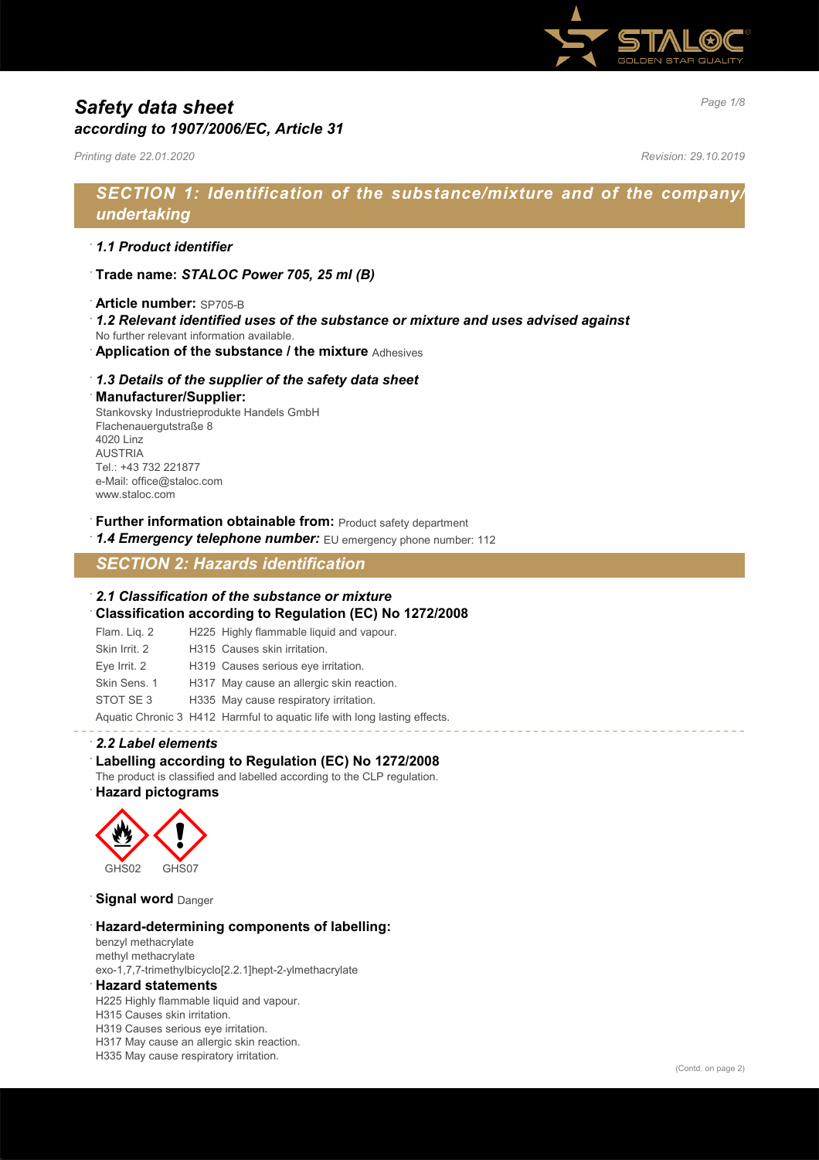

# *Page 1/8 Safety data sheet according to 1907/2006/EC, Article 31*

*Printing date 22.01.2020 Revision: 29.10.2019*

# *SECTION 1: Identification of the substance/mixture and of the company/ undertaking*

# · *1.1 Product identifier*

- · **Trade name:** *STALOC Power 705, 25 ml (B)*
- · **Article number:** SP705-B
- · *1.2 Relevant identified uses of the substance or mixture and uses advised against*
- No further relevant information available.
- · **Application of the substance / the mixture** Adhesives

### · *1.3 Details of the supplier of the safety data sheet*

### · **Manufacturer/Supplier:**

Stankovsky Industrieprodukte Handels GmbH Flachenauergutstraße 8 4020 Linz AUSTRIA Tel.: +43 732 221877 e-Mail: office@staloc.com www.staloc.com

- **Further information obtainable from:** Product safety department
- 1.4 **Emergency telephone number:** EU emergency phone number: 112

# *SECTION 2: Hazards identification*

### · *2.1 Classification of the substance or mixture*

- · **Classification according to Regulation (EC) No 1272/2008**
- Flam. Liq. 2 H225 Highly flammable liquid and vapour. Skin Irrit. 2 H315 Causes skin irritation. Eye Irrit. 2 H319 Causes serious eye irritation. Skin Sens. 1 H317 May cause an allergic skin reaction. STOT SE 3 H335 May cause respiratory irritation. Aquatic Chronic 3 H412 Harmful to aquatic life with long lasting effects.

### · *2.2 Label elements*

### · **Labelling according to Regulation (EC) No 1272/2008**

The product is classified and labelled according to the CLP regulation.

### · **Hazard pictograms**



**Signal word Danger** 

### · **Hazard-determining components of labelling:**

benzyl methacrylate methyl methacrylate exo-1,7,7-trimethylbicyclo[2.2.1]hept-2-ylmethacrylate

### · **Hazard statements**

H225 Highly flammable liquid and vapour.

H315 Causes skin irritation.

H319 Causes serious eye irritation.

H317 May cause an allergic skin reaction.

H335 May cause respiratory irritation.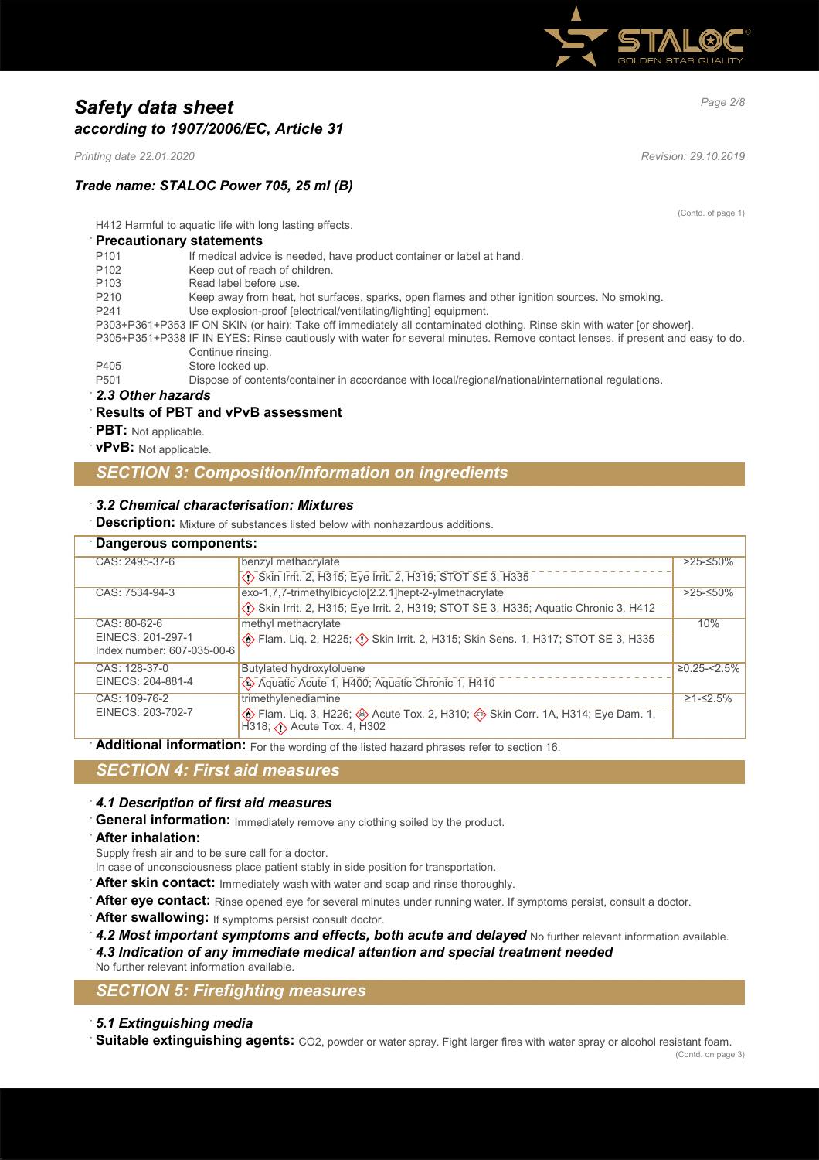

# *Page 2/8 Safety data sheet according to 1907/2006/EC, Article 31*

*Printing date 22.01.2020 Revision: 29.10.2019*

# *Trade name: STALOC Power 705, 25 ml (B)*

(Contd. of page 1)

H412 Harmful to aquatic life with long lasting effects.

### · **Precautionary statements**

| If medical advice is needed, have product container or label at hand.<br>P <sub>101</sub>                                     |  |
|-------------------------------------------------------------------------------------------------------------------------------|--|
| Keep out of reach of children.<br>P <sub>102</sub>                                                                            |  |
| Read label before use.<br>P <sub>103</sub>                                                                                    |  |
| Keep away from heat, hot surfaces, sparks, open flames and other ignition sources. No smoking.<br>P <sub>210</sub>            |  |
| Use explosion-proof [electrical/ventilating/lighting] equipment.<br>P <sub>241</sub>                                          |  |
| P303+P361+P353 IF ON SKIN (or hair): Take off immediately all contaminated clothing. Rinse skin with water [or shower].       |  |
| P305+P351+P338 IF IN EYES: Rinse cautiously with water for several minutes. Remove contact lenses, if present and easy to do. |  |
| Continue rinsing.                                                                                                             |  |
| Store locked up.<br>P405                                                                                                      |  |
| Dispose of contents/container in accordance with local/regional/national/international regulations.<br>P <sub>501</sub>       |  |

### · *2.3 Other hazards*

### · **Results of PBT and vPvB assessment**

- **PBT:** Not applicable.
- · **vPvB:** Not applicable.

# *SECTION 3: Composition/information on ingredients*

### · *3.2 Chemical characterisation: Mixtures*

**Description:** Mixture of substances listed below with nonhazardous additions.

| Dangerous components:                           |                                                                                                                                                                   |                   |
|-------------------------------------------------|-------------------------------------------------------------------------------------------------------------------------------------------------------------------|-------------------|
| CAS: 2495-37-6                                  | benzyl methacrylate                                                                                                                                               | $>25-50\%$        |
|                                                 | Skin Irrit. 2, H315; Eye Irrit. 2, H319; STOT SE 3, H335                                                                                                          |                   |
| CAS: 7534-94-3                                  | exo-1,7,7-trimethylbicyclo[2.2.1]hept-2-ylmethacrylate                                                                                                            | $>25-50%$         |
|                                                 | Skin Irrit. 2, H315; Eye Irrit. 2, H319; STOT SE 3, H335; Aquatic Chronic 3, H412                                                                                 |                   |
| CAS: 80-62-6                                    | methyl methacrylate                                                                                                                                               | 10%               |
| EINECS: 201-297-1<br>Index number: 607-035-00-6 | <b>Elam.</b> Liq. 2, H225; $\overline{\langle 1 \rangle}$ Skin Irrit. 2, H315; Skin Sens. 1, H317; STOT SE 3, H335                                                |                   |
| CAS: 128-37-0                                   | Butylated hydroxytoluene                                                                                                                                          | $\geq$ 0.25-<2.5% |
| EINECS: 204-881-4                               | Aquatic Acute 1, H400; Aquatic Chronic 1, H410                                                                                                                    |                   |
| CAS: 109-76-2                                   | trimethylenediamine                                                                                                                                               | $≥1-S2.5%$        |
| EINECS: 203-702-7                               | <b>Example 1.</b> Flam. Liq. 3, H226; $\circledast$ Acute Tox. 2, H310; $\circledast$ Skin Corr. 1A, H314; Eye Dam. 1,<br>$H318$ ; $\triangle$ Acute Tox. 4, H302 |                   |

Additional information: For the wording of the listed hazard phrases refer to section 16.

### *SECTION 4: First aid measures*

### · *4.1 Description of first aid measures*

General information: Immediately remove any clothing soiled by the product.

### · **After inhalation:**

Supply fresh air and to be sure call for a doctor.

- In case of unconsciousness place patient stably in side position for transportation.
- After skin contact: Immediately wash with water and soap and rinse thoroughly.
- After eye contact: Rinse opened eye for several minutes under running water. If symptoms persist, consult a doctor.
- After swallowing: If symptoms persist consult doctor.
- 4.2 Most important symptoms and effects, both acute and delayed No further relevant information available.
- · *4.3 Indication of any immediate medical attention and special treatment needed*
- No further relevant information available.

# *SECTION 5: Firefighting measures*

### · *5.1 Extinguishing media*

· **Suitable extinguishing agents:** CO2, powder or water spray. Fight larger fires with water spray or alcohol resistant foam.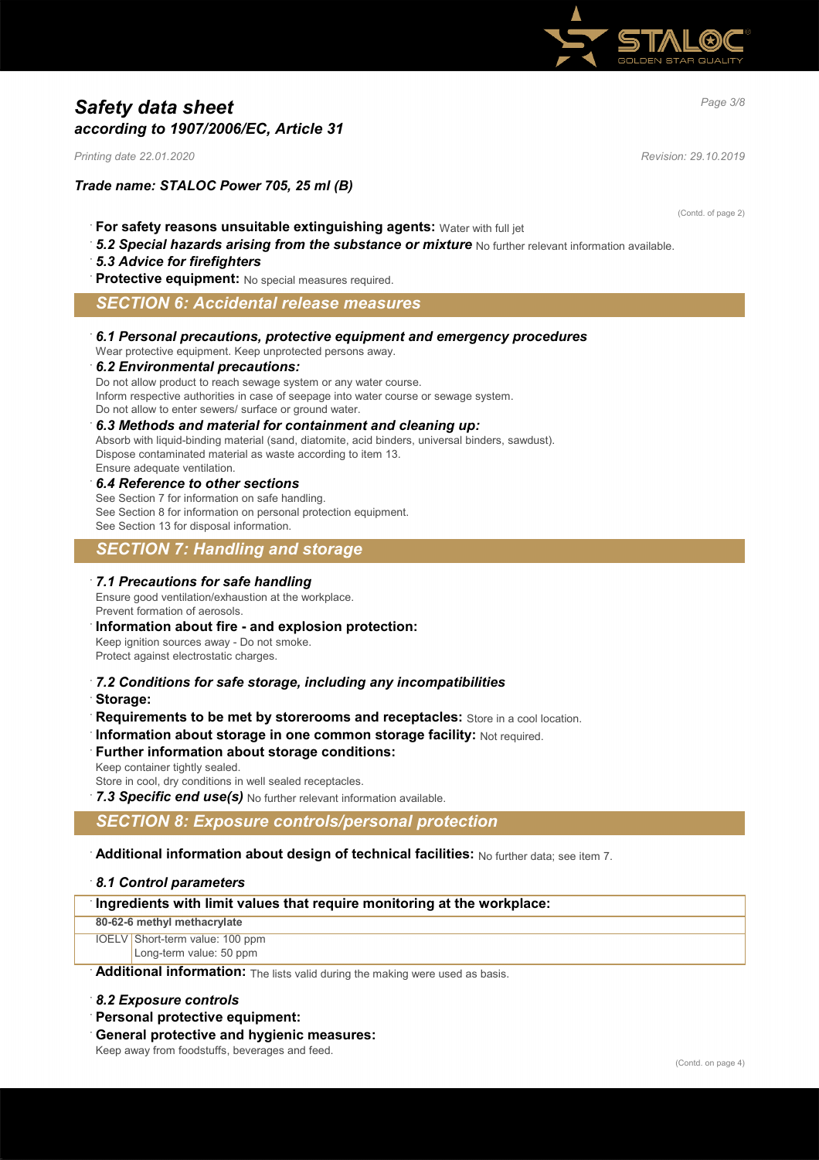

# *Page 3/8 Safety data sheet according to 1907/2006/EC, Article 31*

*Printing date 22.01.2020 Revision: 29.10.2019*

### *Trade name: STALOC Power 705, 25 ml (B)*

(Contd. of page 2)

- · **For safety reasons unsuitable extinguishing agents:** Water with full jet
- 5.2 Special hazards arising from the substance or mixture No further relevant information available.

### · *5.3 Advice for firefighters*

**Protective equipment:** No special measures required.

### *SECTION 6: Accidental release measures*

· *6.1 Personal precautions, protective equipment and emergency procedures*

Wear protective equipment. Keep unprotected persons away.

#### · *6.2 Environmental precautions:*

Do not allow product to reach sewage system or any water course. Inform respective authorities in case of seepage into water course or sewage system. Do not allow to enter sewers/ surface or ground water.

#### · *6.3 Methods and material for containment and cleaning up:*

Absorb with liquid-binding material (sand, diatomite, acid binders, universal binders, sawdust). Dispose contaminated material as waste according to item 13. Ensure adequate ventilation.

#### · *6.4 Reference to other sections*

See Section 7 for information on safe handling. See Section 8 for information on personal protection equipment. See Section 13 for disposal information.

# *SECTION 7: Handling and storage*

#### · *7.1 Precautions for safe handling*

Ensure good ventilation/exhaustion at the workplace. Prevent formation of aerosols.

### · **Information about fire - and explosion protection:**

Keep ignition sources away - Do not smoke. Protect against electrostatic charges.

- · *7.2 Conditions for safe storage, including any incompatibilities*
- · **Storage:**
- **Requirements to be met by storerooms and receptacles:** Store in a cool location.
- **Information about storage in one common storage facility: Not required.**

# **Further information about storage conditions:**

Keep container tightly sealed.

Store in cool, dry conditions in well sealed receptacles.

7.3 Specific end use(s) No further relevant information available.

### *SECTION 8: Exposure controls/personal protection*

· **Additional information about design of technical facilities:** No further data; see item 7.

### · *8.1 Control parameters*

### · **Ingredients with limit values that require monitoring at the workplace:**

#### **80-62-6 methyl methacrylate**

IOELV Short-term value: 100 ppm Long-term value: 50 ppm

Additional information: The lists valid during the making were used as basis.

### · *8.2 Exposure controls*

- · **Personal protective equipment:**
- · **General protective and hygienic measures:**

Keep away from foodstuffs, beverages and feed.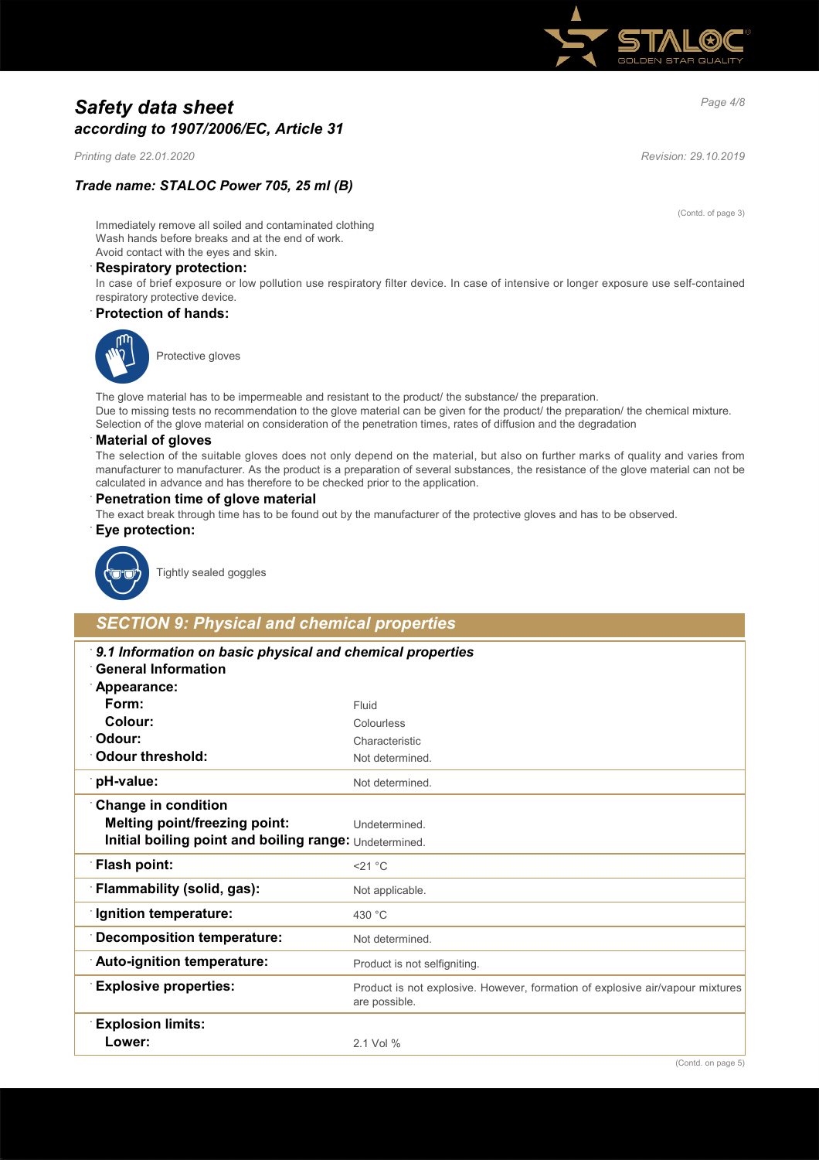

# *Page 4/8 Safety data sheet according to 1907/2006/EC, Article 31*

*Printing date 22.01.2020 Revision: 29.10.2019*

# *Trade name: STALOC Power 705, 25 ml (B)*

(Contd. of page 3)

Immediately remove all soiled and contaminated clothing Wash hands before breaks and at the end of work. Avoid contact with the eyes and skin.

#### · **Respiratory protection:**

In case of brief exposure or low pollution use respiratory filter device. In case of intensive or longer exposure use self-contained respiratory protective device.

### · **Protection of hands:**



Protective gloves

The glove material has to be impermeable and resistant to the product/ the substance/ the preparation. Due to missing tests no recommendation to the glove material can be given for the product/ the preparation/ the chemical mixture. Selection of the glove material on consideration of the penetration times, rates of diffusion and the degradation

#### · **Material of gloves**

The selection of the suitable gloves does not only depend on the material, but also on further marks of quality and varies from manufacturer to manufacturer. As the product is a preparation of several substances, the resistance of the glove material can not be calculated in advance and has therefore to be checked prior to the application.

#### · **Penetration time of glove material**

The exact break through time has to be found out by the manufacturer of the protective gloves and has to be observed.

### · **Eye protection:**



Tightly sealed goggles

# *SECTION 9: Physical and chemical properties*

| 9.1 Information on basic physical and chemical properties<br><b>General Information</b> |                                                                                                |
|-----------------------------------------------------------------------------------------|------------------------------------------------------------------------------------------------|
| Appearance:                                                                             |                                                                                                |
| Form:                                                                                   | Fluid                                                                                          |
| Colour:                                                                                 | Colourless                                                                                     |
| <sup>.</sup> Odour:                                                                     | Characteristic                                                                                 |
| Odour threshold:                                                                        | Not determined.                                                                                |
| pH-value:                                                                               | Not determined.                                                                                |
| <b>Change in condition</b>                                                              |                                                                                                |
| <b>Melting point/freezing point:</b>                                                    | Undetermined.                                                                                  |
| Initial boiling point and boiling range: Undetermined.                                  |                                                                                                |
| <b>Flash point:</b>                                                                     | $<$ 21 °C                                                                                      |
| Flammability (solid, gas):                                                              | Not applicable.                                                                                |
| <b>Ignition temperature:</b>                                                            | 430 °C                                                                                         |
| <b>Decomposition temperature:</b>                                                       | Not determined.                                                                                |
| Auto-ignition temperature:                                                              | Product is not selfigniting.                                                                   |
| <b>Explosive properties:</b>                                                            | Product is not explosive. However, formation of explosive air/vapour mixtures<br>are possible. |
| <b>Explosion limits:</b>                                                                |                                                                                                |
| Lower:                                                                                  | 2.1 Vol %                                                                                      |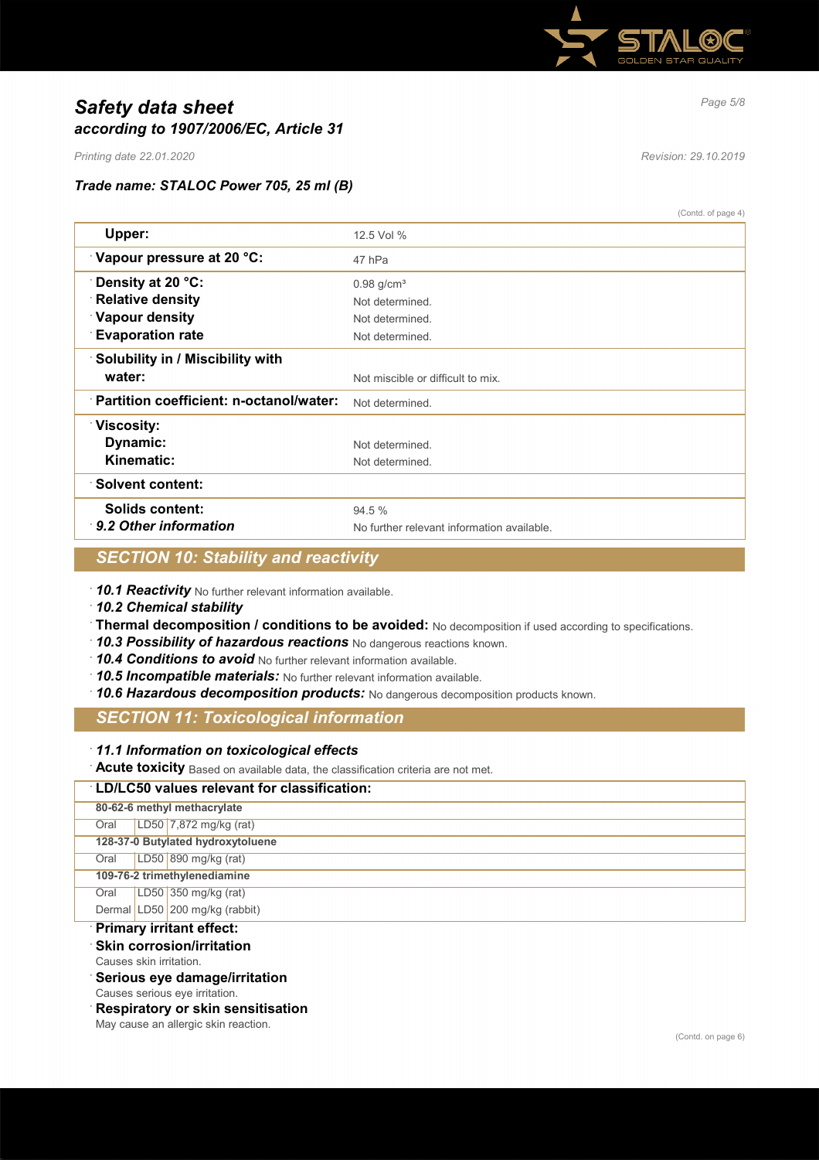

# *Page 5/8 Safety data sheet according to 1907/2006/EC, Article 31*

*Printing date 22.01.2020 Revision: 29.10.2019*

# *Trade name: STALOC Power 705, 25 ml (B)*

|                                         | (Contd. of page 4)                         |
|-----------------------------------------|--------------------------------------------|
| Upper:                                  | 12.5 Vol %                                 |
| Vapour pressure at 20 °C:               | 47 hPa                                     |
| <b>∵Density at 20 °C:</b>               | $0.98$ g/cm <sup>3</sup>                   |
| <b>Relative density</b>                 | Not determined.                            |
| <b>Vapour density</b>                   | Not determined.                            |
| <b>Evaporation rate</b>                 | Not determined.                            |
| Solubility in / Miscibility with        |                                            |
| water:                                  | Not miscible or difficult to mix.          |
| Partition coefficient: n-octanol/water: | Not determined                             |
| ∵Viscosity:                             |                                            |
| Dynamic:                                | Not determined.                            |
| Kinematic:                              | Not determined.                            |
| ∵Solvent content:                       |                                            |
| Solids content:                         | 94.5 %                                     |
| $\cdot$ 9.2 Other information           | No further relevant information available. |
|                                         |                                            |

# *SECTION 10: Stability and reactivity*

· *10.1 Reactivity* No further relevant information available.

· *10.2 Chemical stability*

- · **Thermal decomposition / conditions to be avoided:** No decomposition if used according to specifications.
- · *10.3 Possibility of hazardous reactions* No dangerous reactions known.
- · *10.4 Conditions to avoid* No further relevant information available.
- · *10.5 Incompatible materials:* No further relevant information available.
- · *10.6 Hazardous decomposition products:* No dangerous decomposition products known.

# *SECTION 11: Toxicological information*

### · *11.1 Information on toxicological effects*

· **Acute toxicity** Based on available data, the classification criteria are not met.

### · **LD/LC50 values relevant for classification:**

|      | 80-62-6 methyl methacrylate       |
|------|-----------------------------------|
| Oral | $LD50$ 7,872 mg/kg (rat)          |
|      | 128-37-0 Butylated hydroxytoluene |
| Oral | LD50 890 mg/kg (rat)              |
|      | 109-76-2 trimethylenediamine      |
| Oral | LD50 350 mg/kg (rat)              |
|      | Dermal LD50 200 mg/kg (rabbit)    |
|      | Delmann, iesitant affaati         |

### · **Primary irritant effect:**

- **Skin corrosion/irritation**
- Causes skin irritation.
- · **Serious eye damage/irritation**
- Causes serious eye irritation.

· **Respiratory or skin sensitisation**

May cause an allergic skin reaction.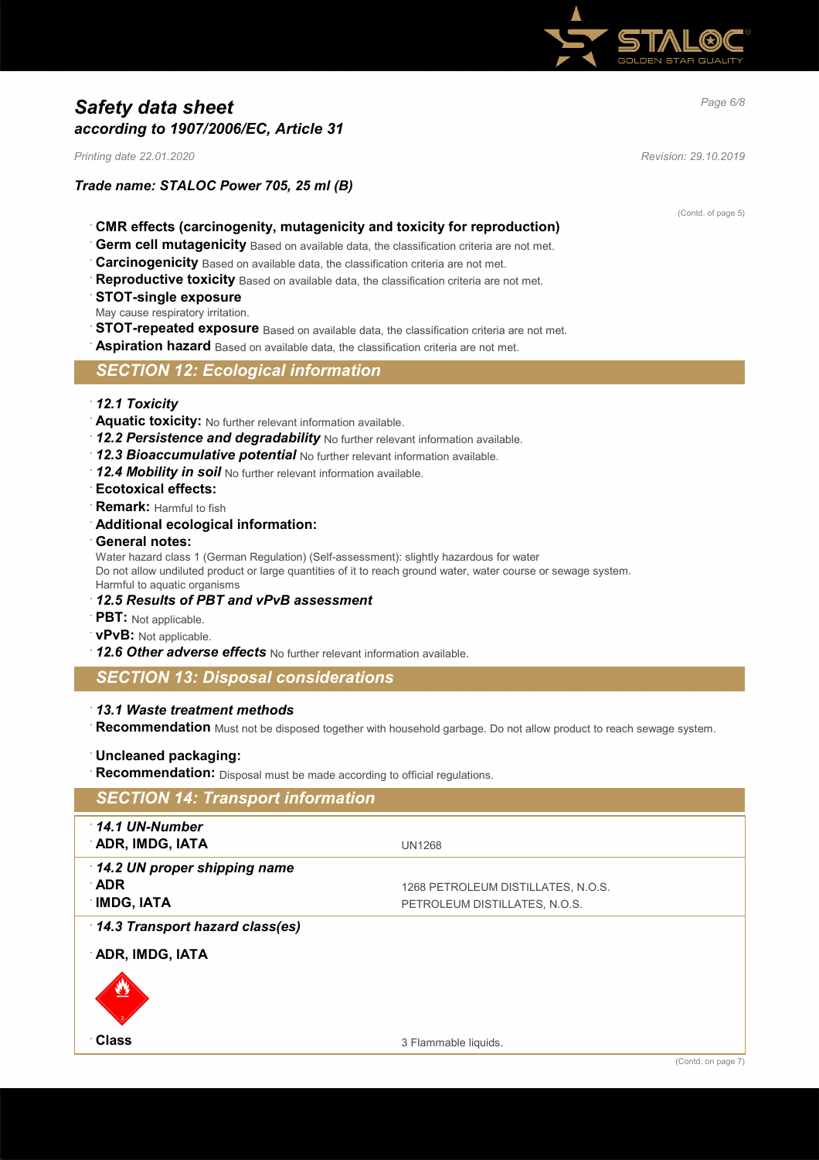

# *Page 6/8 Safety data sheet according to 1907/2006/EC, Article 31*

*Printing date 22.01.2020 Revision: 29.10.2019*

*Trade name: STALOC Power 705, 25 ml (B)*

(Contd. of page 5)

- · **CMR effects (carcinogenity, mutagenicity and toxicity for reproduction)**
- Germ cell mutagenicity Based on available data, the classification criteria are not met.
- **Carcinogenicity** Based on available data, the classification criteria are not met.
- Reproductive toxicity Based on available data, the classification criteria are not met.
- · **STOT-single exposure**
- May cause respiratory irritation.
- **STOT-repeated exposure** Based on available data, the classification criteria are not met.
- · **Aspiration hazard** Based on available data, the classification criteria are not met.

# *SECTION 12: Ecological information*

- · *12.1 Toxicity*
- · **Aquatic toxicity:** No further relevant information available.
- · *12.2 Persistence and degradability* No further relevant information available.
- · *12.3 Bioaccumulative potential* No further relevant information available.
- · *12.4 Mobility in soil* No further relevant information available.
- · **Ecotoxical effects:**
- · **Remark:** Harmful to fish
- · **Additional ecological information:**
- · **General notes:**

Water hazard class 1 (German Regulation) (Self-assessment): slightly hazardous for water Do not allow undiluted product or large quantities of it to reach ground water, water course or sewage system. Harmful to aquatic organisms

- · *12.5 Results of PBT and vPvB assessment*
- · **PBT:** Not applicable.
- · **vPvB:** Not applicable.
- · *12.6 Other adverse effects* No further relevant information available.

*SECTION 13: Disposal considerations*

· *13.1 Waste treatment methods*

· **Recommendation** Must not be disposed together with household garbage. Do not allow product to reach sewage system.

· **Uncleaned packaging:**

· **Recommendation:** Disposal must be made according to official regulations.

# *SECTION 14: Transport information* · *14.1 UN-Number* **ADR, IMDG, IATA** UN1268 · *14.2 UN proper shipping name* · **ADR** 1268 PETROLEUM DISTILLATES, N.O.S. **IMDG, IATA** PETROLEUM DISTILLATES, N.O.S. · *14.3 Transport hazard class(es)* · **ADR, IMDG, IATA and the company of the company of the company of the company of the company of the company of the company of the company of the company of the company of the company of the company of the company of the company of the com** (Contd. on page 7)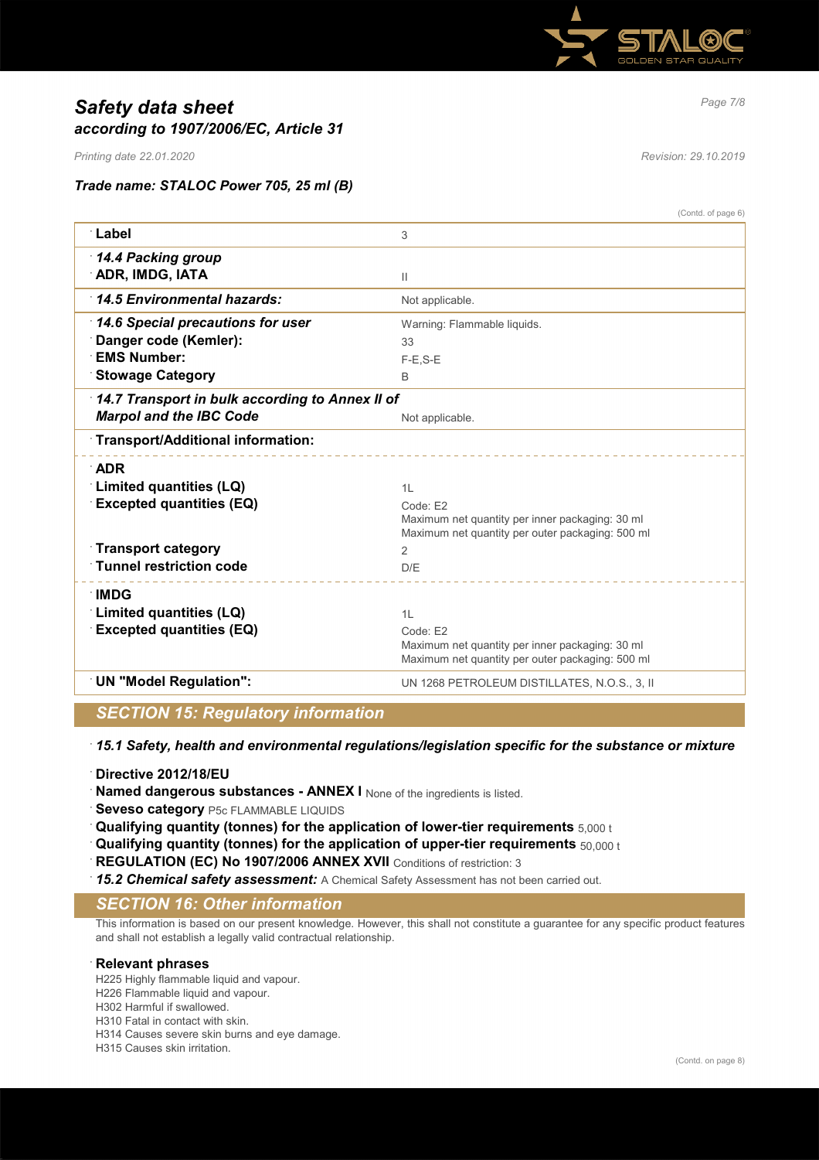

# *Page 7/8 Safety data sheet according to 1907/2006/EC, Article 31*

*Printing date 22.01.2020 Revision: 29.10.2019*

*Trade name: STALOC Power 705, 25 ml (B)*

|                                                 | (Contd. of page 6)                               |
|-------------------------------------------------|--------------------------------------------------|
| ∴Label                                          | 3                                                |
| 14.4 Packing group                              |                                                  |
| <b>ADR, IMDG, IATA</b>                          | Ш                                                |
| 14.5 Environmental hazards:                     | Not applicable.                                  |
| 14.6 Special precautions for user               | Warning: Flammable liquids.                      |
| Danger code (Kemler):                           | 33                                               |
| <b>EMS Number:</b>                              | $F-E$ , $S-E$                                    |
| <b>Stowage Category</b>                         | B                                                |
| 14.7 Transport in bulk according to Annex II of |                                                  |
| <b>Marpol and the IBC Code</b>                  | Not applicable.                                  |
| Transport/Additional information:               |                                                  |
| <b>ADR</b>                                      |                                                  |
| <b>Limited quantities (LQ)</b>                  | 1L                                               |
| <b>Excepted quantities (EQ)</b>                 | Code: E2                                         |
|                                                 | Maximum net quantity per inner packaging: 30 ml  |
|                                                 | Maximum net quantity per outer packaging: 500 ml |
| <b>Transport category</b>                       | $\overline{2}$                                   |
| <b>Tunnel restriction code</b>                  | D/E                                              |
| ∴IMDG                                           |                                                  |
| Limited quantities (LQ)                         | 1L                                               |
| <b>Excepted quantities (EQ)</b>                 | Code: E2                                         |
|                                                 | Maximum net quantity per inner packaging: 30 ml  |
|                                                 | Maximum net quantity per outer packaging: 500 ml |
| <b>UN "Model Regulation":</b>                   | UN 1268 PETROLEUM DISTILLATES, N.O.S., 3, II     |
|                                                 |                                                  |

# *SECTION 15: Regulatory information*

· *15.1 Safety, health and environmental regulations/legislation specific for the substance or mixture*

- · **Directive 2012/18/EU**
- **Named dangerous substances ANNEX I** None of the ingredients is listed.
- **Seveso category** P5c FLAMMABLE LIQUIDS
- · **Qualifying quantity (tonnes) for the application of lower-tier requirements** 5,000 t
- · **Qualifying quantity (tonnes) for the application of upper-tier requirements** 50,000 t
- **REGULATION (EC) No 1907/2006 ANNEX XVII** Conditions of restriction: 3
- · *15.2 Chemical safety assessment:* A Chemical Safety Assessment has not been carried out.

# *SECTION 16: Other information*

This information is based on our present knowledge. However, this shall not constitute a guarantee for any specific product features and shall not establish a legally valid contractual relationship.

### · **Relevant phrases**

H225 Highly flammable liquid and vapour. H226 Flammable liquid and vapour. H302 Harmful if swallowed. H310 Fatal in contact with skin. H314 Causes severe skin burns and eye damage. H315 Causes skin irritation.